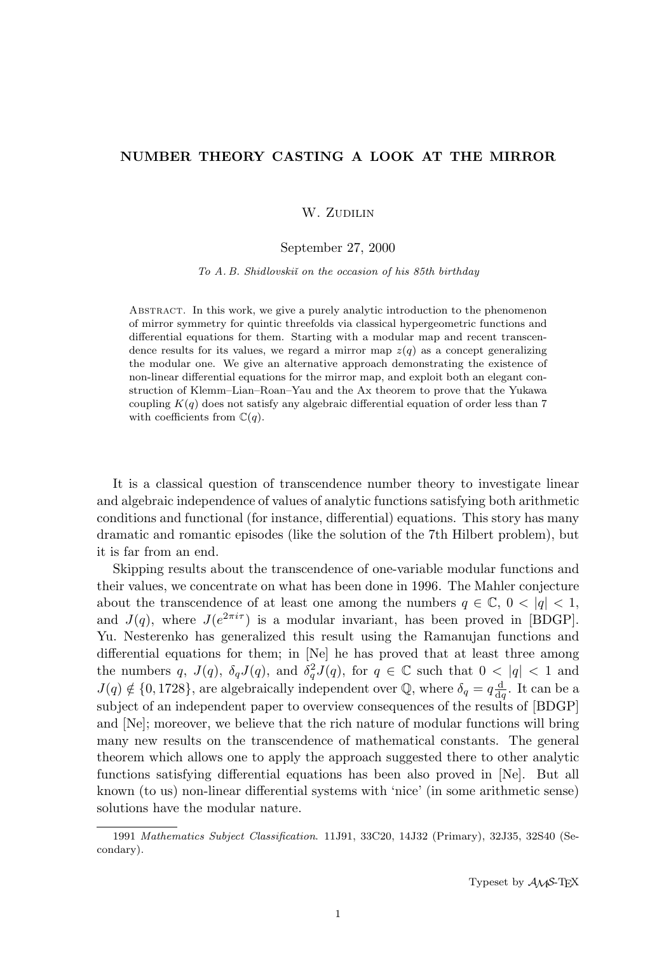# NUMBER THEORY CASTING A LOOK AT THE MIRROR

# W. ZUDILIN

### September 27, 2000

To A. B. Shidlovskii on the occasion of his 85th birthday

Abstract. In this work, we give a purely analytic introduction to the phenomenon of mirror symmetry for quintic threefolds via classical hypergeometric functions and differential equations for them. Starting with a modular map and recent transcendence results for its values, we regard a mirror map  $z(q)$  as a concept generalizing the modular one. We give an alternative approach demonstrating the existence of non-linear differential equations for the mirror map, and exploit both an elegant construction of Klemm–Lian–Roan–Yau and the Ax theorem to prove that the Yukawa coupling  $K(q)$  does not satisfy any algebraic differential equation of order less than 7 with coefficients from  $\mathbb{C}(q)$ .

It is a classical question of transcendence number theory to investigate linear and algebraic independence of values of analytic functions satisfying both arithmetic conditions and functional (for instance, differential) equations. This story has many dramatic and romantic episodes (like the solution of the 7th Hilbert problem), but it is far from an end.

Skipping results about the transcendence of one-variable modular functions and their values, we concentrate on what has been done in 1996. The Mahler conjecture about the transcendence of at least one among the numbers  $q \in \mathbb{C}$ ,  $0 < |q| < 1$ , and  $J(q)$ , where  $J(e^{2\pi i\tau})$  is a modular invariant, has been proved in [BDGP]. Yu. Nesterenko has generalized this result using the Ramanujan functions and differential equations for them; in [Ne] he has proved that at least three among the numbers q,  $J(q)$ ,  $\delta_q J(q)$ , and  $\delta_q^2 J(q)$ , for  $q \in \mathbb{C}$  such that  $0 < |q| < 1$  and  $J(q) \notin \{0, 1728\}$ , are algebraically independent over Q, where  $\delta_q = q \frac{d}{dq}$  $\frac{d}{dq}$ . It can be a subject of an independent paper to overview consequences of the results of [BDGP] and [Ne]; moreover, we believe that the rich nature of modular functions will bring many new results on the transcendence of mathematical constants. The general theorem which allows one to apply the approach suggested there to other analytic functions satisfying differential equations has been also proved in [Ne]. But all known (to us) non-linear differential systems with 'nice' (in some arithmetic sense) solutions have the modular nature.

<sup>1991</sup> Mathematics Subject Classification. 11J91, 33C20, 14J32 (Primary), 32J35, 32S40 (Secondary).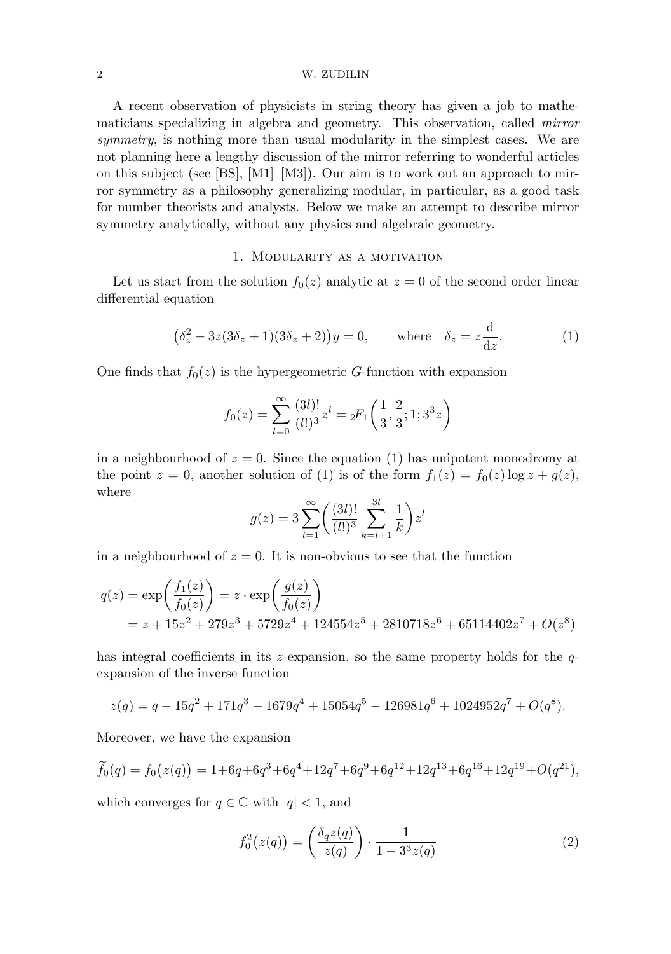#### 2 W. ZUDILIN

A recent observation of physicists in string theory has given a job to mathematicians specializing in algebra and geometry. This observation, called mirror symmetry, is nothing more than usual modularity in the simplest cases. We are not planning here a lengthy discussion of the mirror referring to wonderful articles on this subject (see [BS], [M1]–[M3]). Our aim is to work out an approach to mirror symmetry as a philosophy generalizing modular, in particular, as a good task for number theorists and analysts. Below we make an attempt to describe mirror symmetry analytically, without any physics and algebraic geometry.

### 1. Modularity as a motivation

Let us start from the solution  $f_0(z)$  analytic at  $z = 0$  of the second order linear differential equation

$$
(\delta_z^2 - 3z(3\delta_z + 1)(3\delta_z + 2))y = 0, \quad \text{where} \quad \delta_z = z\frac{d}{dz}.
$$
 (1)

One finds that  $f_0(z)$  is the hypergeometric G-function with expansion

$$
f_0(z) = \sum_{l=0}^{\infty} \frac{(3l)!}{(l!)^3} z^l = {}_2F_1\left(\frac{1}{3}, \frac{2}{3}; 1; 3^3z\right)
$$

in a neighbourhood of  $z = 0$ . Since the equation (1) has unipotent monodromy at the point  $z = 0$ , another solution of (1) is of the form  $f_1(z) = f_0(z) \log z + g(z)$ , where

$$
g(z) = 3 \sum_{l=1}^{\infty} \left( \frac{(3l)!}{(l!)^3} \sum_{k=l+1}^{3l} \frac{1}{k} \right) z^l
$$

in a neighbourhood of  $z = 0$ . It is non-obvious to see that the function

$$
q(z) = \exp\left(\frac{f_1(z)}{f_0(z)}\right) = z \cdot \exp\left(\frac{g(z)}{f_0(z)}\right)
$$
  
=  $z + 15z^2 + 279z^3 + 5729z^4 + 124554z^5 + 2810718z^6 + 65114402z^7 + O(z^8)$ 

has integral coefficients in its z-expansion, so the same property holds for the  $q$ expansion of the inverse function

$$
z(q) = q - 15q^{2} + 171q^{3} - 1679q^{4} + 15054q^{5} - 126981q^{6} + 1024952q^{7} + O(q^{8}).
$$

Moreover, we have the expansion

$$
\widetilde{f}_0(q) = f_0(z(q)) = 1 + 6q + 6q^3 + 6q^4 + 12q^7 + 6q^9 + 6q^{12} + 12q^{13} + 6q^{16} + 12q^{19} + O(q^{21}),
$$

which converges for  $q \in \mathbb{C}$  with  $|q| < 1$ , and

$$
f_0^2(z(q)) = \left(\frac{\delta_q z(q)}{z(q)}\right) \cdot \frac{1}{1 - 3^3 z(q)}\tag{2}
$$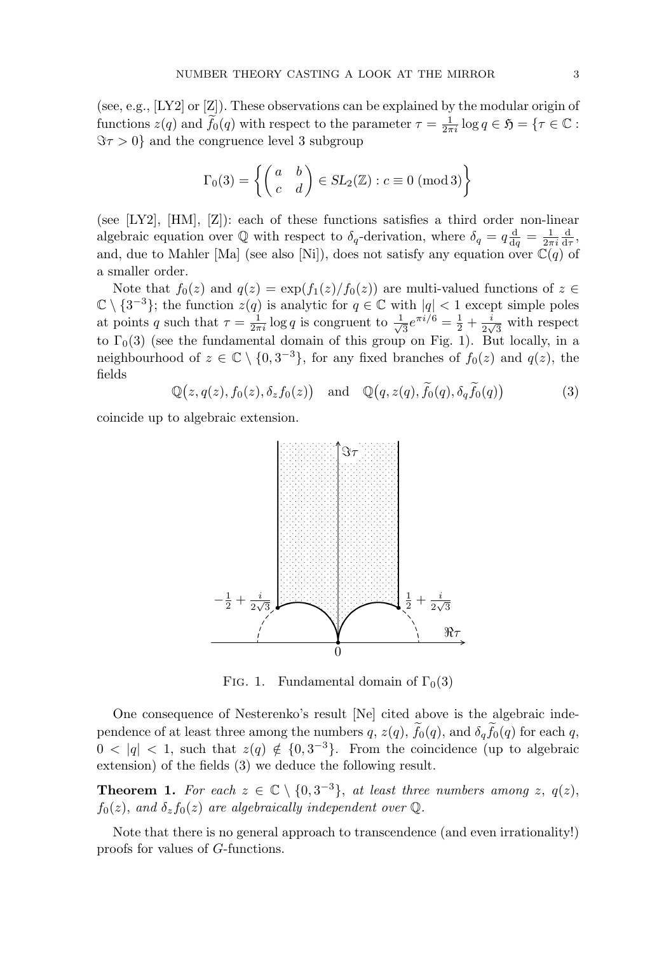(see, e.g., [LY2] or [Z]). These observations can be explained by the modular origin of functions  $z(q)$  and  $\widetilde{f}_0(q)$  with respect to the parameter  $\tau = \frac{1}{2\pi i} \log q \in \mathfrak{H} = \{ \tau \in \mathbb{C} :$  $\Im \tau > 0$ } and the congruence level 3 subgroup

$$
\Gamma_0(3) = \left\{ \begin{pmatrix} a & b \\ c & d \end{pmatrix} \in SL_2(\mathbb{Z}) : c \equiv 0 \text{ (mod 3)} \right\}
$$

(see [LY2], [HM], [Z]): each of these functions satisfies a third order non-linear algebraic equation over Q with respect to  $\delta_q$ -derivation, where  $\delta_q = q \frac{d}{dq}$  $\frac{\mathrm{d}}{\mathrm{d}q}=\frac{1}{2\pi}$  $2\pi i$ d  $\frac{\mathrm{d}}{\mathrm{d}\tau}$ , and, due to Mahler [Ma] (see also [Ni]), does not satisfy any equation over  $\mathbb{C}(q)$  of a smaller order.

Note that  $f_0(z)$  and  $q(z) = \exp(f_1(z)/f_0(z))$  are multi-valued functions of  $z \in$  $\mathbb{C} \setminus \{3^{-3}\};$  the function  $z(q)$  is analytic for  $q \in \mathbb{C}$  with  $|q| < 1$  except simple poles at points q such that  $\tau = \frac{1}{2\pi i} \log q$  is congruent to  $\frac{1}{\sqrt{ }}$  $\frac{1}{3}e^{\pi i/6} = \frac{1}{2}$  $rac{1}{2} + \frac{i}{2v}$ 2  $\iota$  $\frac{1}{3}$  with respect to  $\Gamma_0(3)$  (see the fundamental domain of this group on Fig. 1). But locally, in a neighbourhood of  $z \in \mathbb{C} \setminus \{0, 3^{-3}\}\$ , for any fixed branches of  $f_0(z)$  and  $q(z)$ , the fields

> $\mathbb{Q}(z, q(z), f_0(z), \delta_z f_0(z))$  and  $\mathbb{Q}(q, z(q), f_0(q), \delta_q f_0(q))$ (3)

coincide up to algebraic extension.



FIG. 1. Fundamental domain of  $\Gamma_0(3)$ 

One consequence of Nesterenko's result [Ne] cited above is the algebraic independence of at least three among the numbers q,  $z(q)$ ,  $f_0(q)$ , and  $\delta_q f_0(q)$  for each q,  $0 < |q| < 1$ , such that  $z(q) \notin \{0, 3^{-3}\}$ . From the coincidence (up to algebraic extension) of the fields (3) we deduce the following result.

**Theorem 1.** For each  $z \in \mathbb{C} \setminus \{0, 3^{-3}\}$ , at least three numbers among z,  $q(z)$ ,  $f_0(z)$ , and  $\delta_z f_0(z)$  are algebraically independent over Q.

Note that there is no general approach to transcendence (and even irrationality!) proofs for values of G-functions.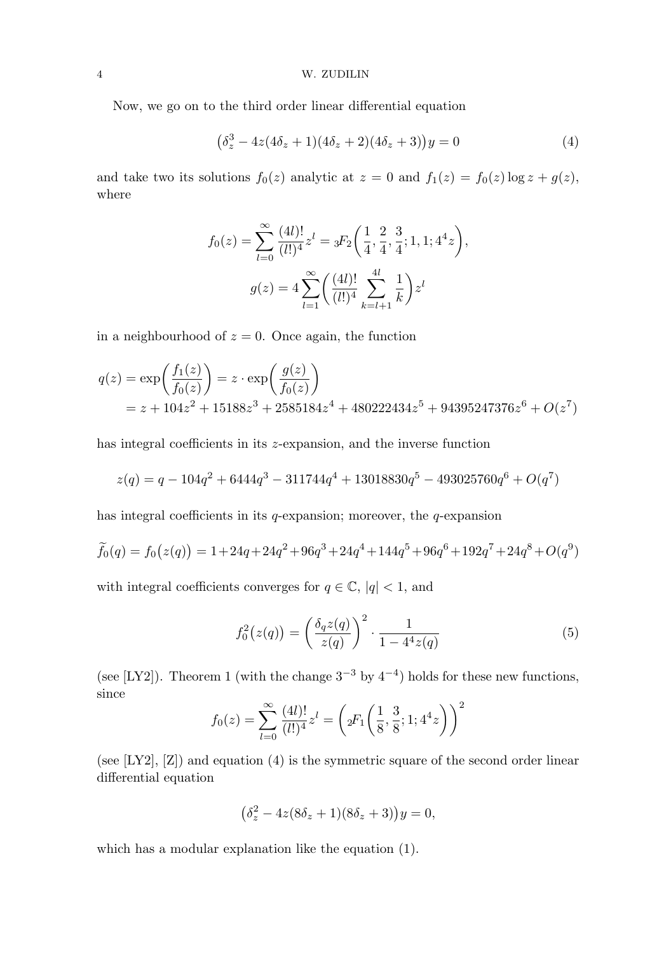Now, we go on to the third order linear differential equation

$$
(\delta_z^3 - 4z(4\delta_z + 1)(4\delta_z + 2)(4\delta_z + 3))y = 0
$$
\n(4)

and take two its solutions  $f_0(z)$  analytic at  $z = 0$  and  $f_1(z) = f_0(z) \log z + g(z)$ , where

$$
f_0(z) = \sum_{l=0}^{\infty} \frac{(4l)!}{(l!)^4} z^l = {}_3F_2\left(\frac{1}{4}, \frac{2}{4}, \frac{3}{4}; 1, 1; 4^4 z\right),
$$

$$
g(z) = 4 \sum_{l=1}^{\infty} \left(\frac{(4l)!}{(l!)^4} \sum_{k=l+1}^{4l} \frac{1}{k}\right) z^l
$$

in a neighbourhood of  $z = 0$ . Once again, the function

$$
q(z) = \exp\left(\frac{f_1(z)}{f_0(z)}\right) = z \cdot \exp\left(\frac{g(z)}{f_0(z)}\right)
$$
  
= z + 104z<sup>2</sup> + 15188z<sup>3</sup> + 2585184z<sup>4</sup> + 480222434z<sup>5</sup> + 94395247376z<sup>6</sup> + O(z<sup>7</sup>)

has integral coefficients in its *z*-expansion, and the inverse function

$$
z(q) = q - 104q^{2} + 6444q^{3} - 311744q^{4} + 13018830q^{5} - 493025760q^{6} + O(q^{7})
$$

has integral coefficients in its  $q$ -expansion; moreover, the  $q$ -expansion

$$
\widetilde{f}_0(q) = f_0(z(q)) = 1 + 24q + 24q^2 + 96q^3 + 24q^4 + 144q^5 + 96q^6 + 192q^7 + 24q^8 + O(q^9)
$$

with integral coefficients converges for  $q \in \mathbb{C}$ ,  $|q| < 1$ , and

$$
f_0^2(z(q)) = \left(\frac{\delta_q z(q)}{z(q)}\right)^2 \cdot \frac{1}{1 - 4^4 z(q)}\tag{5}
$$

(see [LY2]). Theorem 1 (with the change  $3^{-3}$  by  $4^{-4}$ ) holds for these new functions, since

$$
f_0(z) = \sum_{l=0}^{\infty} \frac{(4l)!}{(l!)^4} z^l = \left( 2F_1\left(\frac{1}{8}, \frac{3}{8}; 1; 4^4 z\right) \right)^2
$$

(see [LY2], [Z]) and equation (4) is the symmetric square of the second order linear differential equation

$$
(\delta_z^2 - 4z(8\delta_z + 1)(8\delta_z + 3))y = 0,
$$

which has a modular explanation like the equation (1).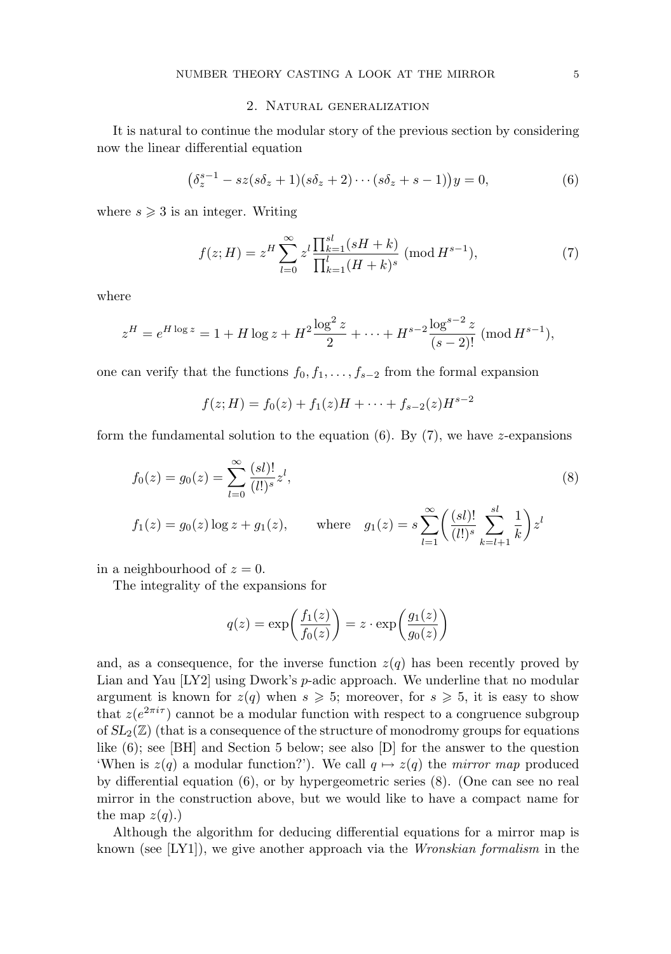### 2. Natural generalization

It is natural to continue the modular story of the previous section by considering now the linear differential equation

$$
(\delta_z^{s-1} - sz(s\delta_z + 1)(s\delta_z + 2) \cdots (s\delta_z + s - 1))y = 0,
$$
\n(6)

where  $s \geqslant 3$  is an integer. Writing

$$
f(z;H) = z^H \sum_{l=0}^{\infty} z^l \frac{\prod_{k=1}^{sl} (sH + k)}{\prod_{k=1}^{l} (H + k)^s} \; (\text{mod } H^{s-1}),\tag{7}
$$

where

$$
z^{H} = e^{H \log z} = 1 + H \log z + H^{2} \frac{\log^{2} z}{2} + \dots + H^{s-2} \frac{\log^{s-2} z}{(s-2)!} \; (\text{mod}\, H^{s-1}),
$$

one can verify that the functions  $f_0, f_1, \ldots, f_{s-2}$  from the formal expansion

$$
f(z;H) = f_0(z) + f_1(z)H + \dots + f_{s-2}(z)H^{s-2}
$$

form the fundamental solution to the equation (6). By  $(7)$ , we have z-expansions

$$
f_0(z) = g_0(z) = \sum_{l=0}^{\infty} \frac{(sl)!}{(l!)^s} z^l,
$$
  
\n
$$
f_1(z) = g_0(z) \log z + g_1(z), \qquad \text{where} \quad g_1(z) = s \sum_{l=1}^{\infty} \left( \frac{(sl)!}{(l!)^s} \sum_{k=l+1}^{sl} \frac{1}{k} \right) z^l
$$

in a neighbourhood of  $z = 0$ .

The integrality of the expansions for

$$
q(z) = \exp\left(\frac{f_1(z)}{f_0(z)}\right) = z \cdot \exp\left(\frac{g_1(z)}{g_0(z)}\right)
$$

and, as a consequence, for the inverse function  $z(q)$  has been recently proved by Lian and Yau  $[LY2]$  using Dwork's *p*-adic approach. We underline that no modular argument is known for  $z(q)$  when  $s \geq 5$ ; moreover, for  $s \geq 5$ , it is easy to show that  $z(e^{2\pi i\tau})$  cannot be a modular function with respect to a congruence subgroup of  $SL_2(\mathbb{Z})$  (that is a consequence of the structure of monodromy groups for equations like  $(6)$ ; see [BH] and Section 5 below; see also [D] for the answer to the question 'When is  $z(q)$  a modular function?'). We call  $q \mapsto z(q)$  the *mirror map* produced by differential equation (6), or by hypergeometric series (8). (One can see no real mirror in the construction above, but we would like to have a compact name for the map  $z(q)$ .)

Although the algorithm for deducing differential equations for a mirror map is known (see [LY1]), we give another approach via the Wronskian formalism in the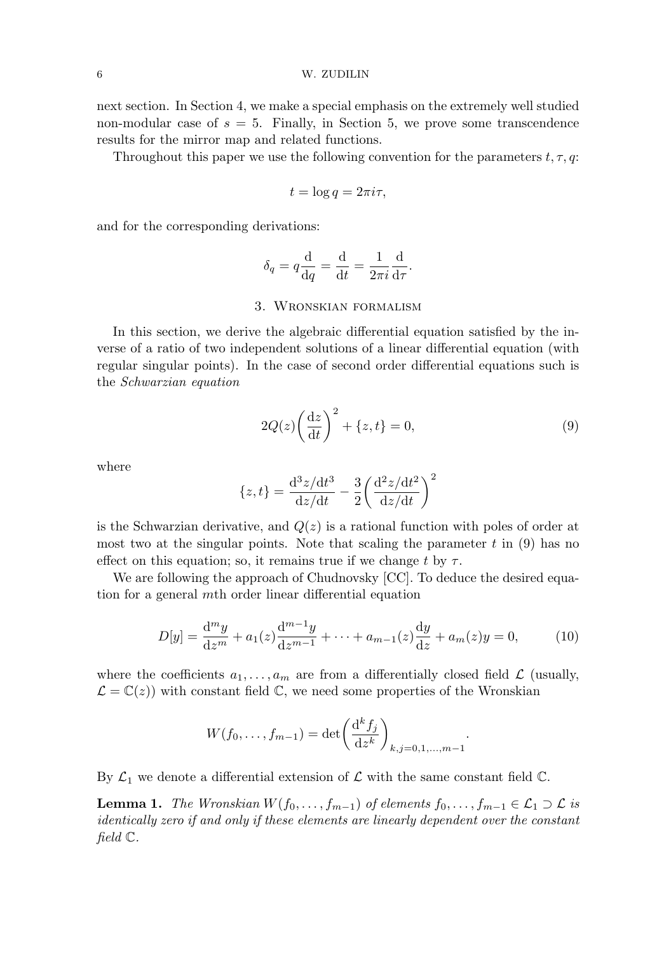next section. In Section 4, we make a special emphasis on the extremely well studied non-modular case of  $s = 5$ . Finally, in Section 5, we prove some transcendence results for the mirror map and related functions.

Throughout this paper we use the following convention for the parameters  $t, \tau, q$ :

$$
t = \log q = 2\pi i \tau,
$$

and for the corresponding derivations:

$$
\delta_q = q \frac{\mathrm{d}}{\mathrm{d}q} = \frac{\mathrm{d}}{\mathrm{d}t} = \frac{1}{2\pi i} \frac{\mathrm{d}}{\mathrm{d}\tau}.
$$

## 3. Wronskian formalism

In this section, we derive the algebraic differential equation satisfied by the inverse of a ratio of two independent solutions of a linear differential equation (with regular singular points). In the case of second order differential equations such is the Schwarzian equation

$$
2Q(z)\left(\frac{\mathrm{d}z}{\mathrm{d}t}\right)^2 + \{z,t\} = 0,\tag{9}
$$

where

$$
\{z, t\} = \frac{d^3 z/dt^3}{dz/dt} - \frac{3}{2} \left(\frac{d^2 z/dt^2}{dz/dt}\right)^2
$$

is the Schwarzian derivative, and  $Q(z)$  is a rational function with poles of order at most two at the singular points. Note that scaling the parameter  $t$  in (9) has no effect on this equation; so, it remains true if we change t by  $\tau$ .

We are following the approach of Chudnovsky [CC]. To deduce the desired equation for a general mth order linear differential equation

$$
D[y] = \frac{d^m y}{dz^m} + a_1(z)\frac{d^{m-1} y}{dz^{m-1}} + \dots + a_{m-1}(z)\frac{dy}{dz} + a_m(z)y = 0,
$$
 (10)

where the coefficients  $a_1, \ldots, a_m$  are from a differentially closed field  $\mathcal L$  (usually,  $\mathcal{L} = \mathbb{C}(z)$  with constant field  $\mathbb{C}$ , we need some properties of the Wronskian

$$
W(f_0, ..., f_{m-1}) = \det \left(\frac{d^k f_j}{dz^k}\right)_{k,j=0,1,...,m-1}.
$$

By  $\mathcal{L}_1$  we denote a differential extension of  $\mathcal L$  with the same constant field  $\mathbb C$ .

**Lemma 1.** The Wronskian  $W(f_0, \ldots, f_{m-1})$  of elements  $f_0, \ldots, f_{m-1} \in \mathcal{L}_1 \supset \mathcal{L}$  is identically zero if and only if these elements are linearly dependent over the constant field C.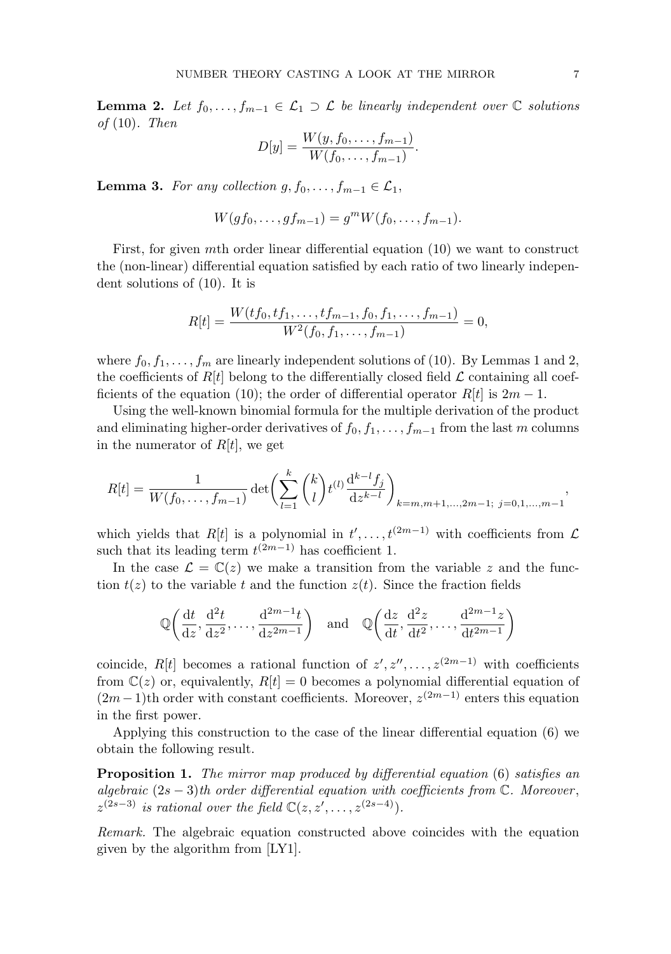**Lemma 2.** Let  $f_0, \ldots, f_{m-1} \in \mathcal{L}_1 \supset \mathcal{L}$  be linearly independent over  $\mathbb{C}$  solutions of  $(10)$ . Then

$$
D[y] = \frac{W(y, f_0, \dots, f_{m-1})}{W(f_0, \dots, f_{m-1})}.
$$

**Lemma 3.** For any collection  $g, f_0, \ldots, f_{m-1} \in \mathcal{L}_1$ ,

$$
W(gf_0,\ldots,gf_{m-1})=g^mW(f_0,\ldots,f_{m-1}).
$$

First, for given mth order linear differential equation (10) we want to construct the (non-linear) differential equation satisfied by each ratio of two linearly independent solutions of (10). It is

$$
R[t] = \frac{W(tf_0, tf_1, \ldots, tf_{m-1}, f_0, f_1, \ldots, f_{m-1})}{W^2(f_0, f_1, \ldots, f_{m-1})} = 0,
$$

where  $f_0, f_1, \ldots, f_m$  are linearly independent solutions of (10). By Lemmas 1 and 2, the coefficients of  $R[t]$  belong to the differentially closed field  $\mathcal L$  containing all coefficients of the equation (10); the order of differential operator  $R[t]$  is  $2m - 1$ .

Using the well-known binomial formula for the multiple derivation of the product and eliminating higher-order derivatives of  $f_0, f_1, \ldots, f_{m-1}$  from the last m columns in the numerator of  $R[t]$ , we get

$$
R[t] = \frac{1}{W(f_0, \dots, f_{m-1})} \det \left( \sum_{l=1}^k {k \choose l} t^{(l)} \frac{d^{k-l} f_j}{dz^{k-l}} \right)_{k=m, m+1, \dots, 2m-1; \ j=0,1,\dots,m-1},
$$

which yields that  $R[t]$  is a polynomial in  $t', \ldots, t^{(2m-1)}$  with coefficients from  $\mathcal L$ such that its leading term  $t^{(2m-1)}$  has coefficient 1.

In the case  $\mathcal{L} = \mathbb{C}(z)$  we make a transition from the variable z and the function  $t(z)$  to the variable t and the function  $z(t)$ . Since the fraction fields

$$
\mathbb{Q}\left(\frac{dt}{dz}, \frac{d^2t}{dz^2}, \dots, \frac{d^{2m-1}t}{dz^{2m-1}}\right)
$$
 and  $\mathbb{Q}\left(\frac{dz}{dt}, \frac{d^2z}{dt^2}, \dots, \frac{d^{2m-1}z}{dt^{2m-1}}\right)$ 

coincide, R[t] becomes a rational function of  $z', z'', \ldots, z^{(2m-1)}$  with coefficients from  $\mathbb{C}(z)$  or, equivalently,  $R[t] = 0$  becomes a polynomial differential equation of  $(2m-1)$ th order with constant coefficients. Moreover,  $z^{(2m-1)}$  enters this equation in the first power.

Applying this construction to the case of the linear differential equation (6) we obtain the following result.

**Proposition 1.** The mirror map produced by differential equation (6) satisfies an algebraic  $(2s-3)$ th order differential equation with coefficients from  $\mathbb{C}$ . Moreover,  $z^{(2s-3)}$  is rational over the field  $\mathbb{C}(z, z', \ldots, z^{(2s-4)})$ .

Remark. The algebraic equation constructed above coincides with the equation given by the algorithm from [LY1].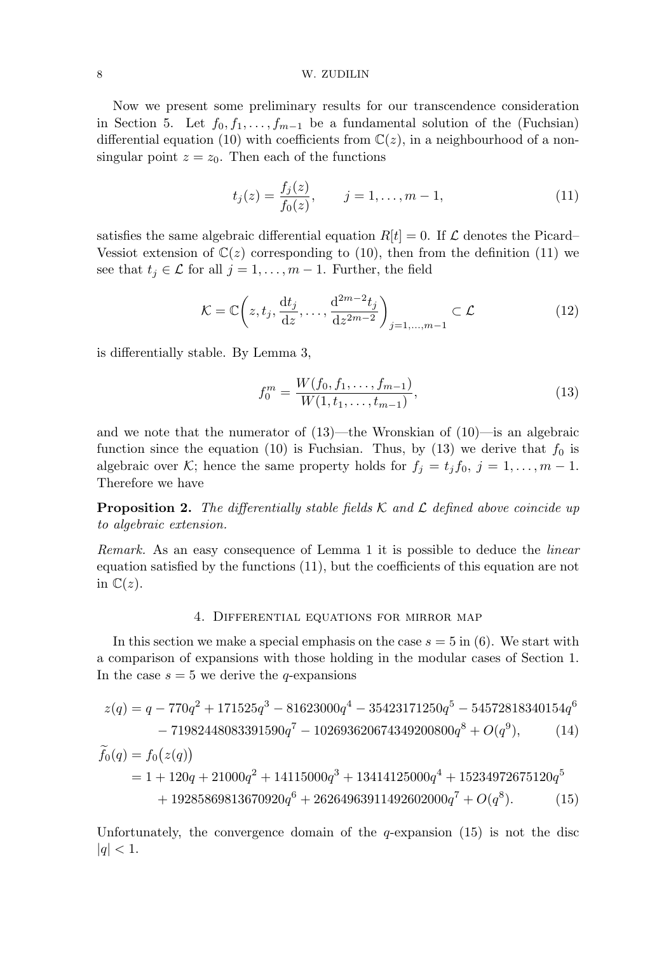#### 8 W. ZUDILIN

Now we present some preliminary results for our transcendence consideration in Section 5. Let  $f_0, f_1, \ldots, f_{m-1}$  be a fundamental solution of the (Fuchsian) differential equation (10) with coefficients from  $\mathbb{C}(z)$ , in a neighbourhood of a nonsingular point  $z = z_0$ . Then each of the functions

$$
t_j(z) = \frac{f_j(z)}{f_0(z)}, \qquad j = 1, \dots, m-1,
$$
\n(11)

satisfies the same algebraic differential equation  $R[t] = 0$ . If  $\mathcal L$  denotes the Picard– Vessiot extension of  $\mathbb{C}(z)$  corresponding to (10), then from the definition (11) we see that  $t_i \in \mathcal{L}$  for all  $j = 1, \ldots, m - 1$ . Further, the field

$$
\mathcal{K} = \mathbb{C}\left(z, t_j, \frac{\mathrm{d}t_j}{\mathrm{d}z}, \dots, \frac{\mathrm{d}^{2m-2}t_j}{\mathrm{d}z^{2m-2}}\right)_{j=1,\dots,m-1} \subset \mathcal{L}
$$
\n(12)

is differentially stable. By Lemma 3,

$$
f_0^m = \frac{W(f_0, f_1, \dots, f_{m-1})}{W(1, t_1, \dots, t_{m-1})},\tag{13}
$$

and we note that the numerator of  $(13)$ —the Wronskian of  $(10)$ —is an algebraic function since the equation (10) is Fuchsian. Thus, by (13) we derive that  $f_0$  is algebraic over K; hence the same property holds for  $f_j = t_j f_0$ ,  $j = 1, ..., m - 1$ . Therefore we have

**Proposition 2.** The differentially stable fields K and L defined above coincide up to algebraic extension.

Remark. As an easy consequence of Lemma 1 it is possible to deduce the linear equation satisfied by the functions (11), but the coefficients of this equation are not in  $\mathbb{C}(z)$ .

## 4. Differential equations for mirror map

In this section we make a special emphasis on the case  $s = 5$  in (6). We start with a comparison of expansions with those holding in the modular cases of Section 1. In the case  $s = 5$  we derive the q-expansions

$$
z(q) = q - 770q^{2} + 171525q^{3} - 81623000q^{4} - 35423171250q^{5} - 54572818340154q^{6}
$$
  
- 71982448083391590q<sup>7</sup> - 102693620674349200800q<sup>8</sup> + O(q<sup>9</sup>), (14)  

$$
\widetilde{f}_{0}(q) = f_{0}(z(q))
$$
  
= 1 + 120q + 21000q<sup>2</sup> + 14115000q<sup>3</sup> + 13414125000q<sup>4</sup> + 15234972675120q<sup>5</sup>  
+ 19285869813670920q<sup>6</sup> + 26264963911492602000q<sup>7</sup> + O(q<sup>8</sup>). (15)

Unfortunately, the convergence domain of the  $q$ -expansion (15) is not the disc  $|q| < 1.$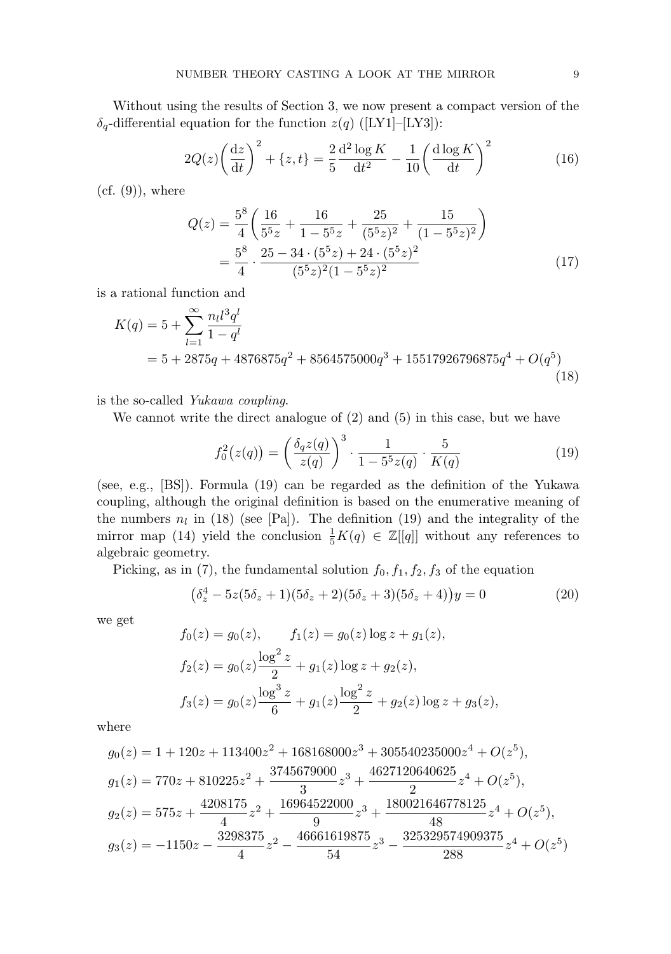Without using the results of Section 3, we now present a compact version of the  $\delta_q$ -differential equation for the function  $z(q)$  ([LY1]–[LY3]):

$$
2Q(z)\left(\frac{\mathrm{d}z}{\mathrm{d}t}\right)^2 + \{z,t\} = \frac{2}{5}\frac{\mathrm{d}^2\log K}{\mathrm{d}t^2} - \frac{1}{10}\left(\frac{\mathrm{d}\log K}{\mathrm{d}t}\right)^2\tag{16}
$$

 $(cf. (9))$ , where

$$
Q(z) = \frac{5^8}{4} \left( \frac{16}{5^5 z} + \frac{16}{1 - 5^5 z} + \frac{25}{(5^5 z)^2} + \frac{15}{(1 - 5^5 z)^2} \right)
$$
  
= 
$$
\frac{5^8}{4} \cdot \frac{25 - 34 \cdot (5^5 z) + 24 \cdot (5^5 z)^2}{(5^5 z)^2 (1 - 5^5 z)^2}
$$
(17)

is a rational function and

$$
K(q) = 5 + \sum_{l=1}^{\infty} \frac{n_l l^3 q^l}{1 - q^l}
$$
  
= 5 + 2875q + 4876875q<sup>2</sup> + 8564575000q<sup>3</sup> + 15517926796875q<sup>4</sup> + O(q<sup>5</sup>) (18)

is the so-called Yukawa coupling.

We cannot write the direct analogue of  $(2)$  and  $(5)$  in this case, but we have

$$
f_0^2(z(q)) = \left(\frac{\delta_q z(q)}{z(q)}\right)^3 \cdot \frac{1}{1 - 5^5 z(q)} \cdot \frac{5}{K(q)}\tag{19}
$$

(see, e.g., [BS]). Formula (19) can be regarded as the definition of the Yukawa coupling, although the original definition is based on the enumerative meaning of the numbers  $n_l$  in (18) (see [Pa]). The definition (19) and the integrality of the mirror map (14) yield the conclusion  $\frac{1}{5}K(q) \in \mathbb{Z}[[q]]$  without any references to algebraic geometry.

Picking, as in (7), the fundamental solution  $f_0, f_1, f_2, f_3$  of the equation

$$
(\delta_z^4 - 5z(5\delta_z + 1)(5\delta_z + 2)(5\delta_z + 3)(5\delta_z + 4))y = 0
$$
\n(20)

we get

$$
f_0(z) = g_0(z), \t f_1(z) = g_0(z) \log z + g_1(z),
$$
  
\n
$$
f_2(z) = g_0(z) \frac{\log^2 z}{2} + g_1(z) \log z + g_2(z),
$$
  
\n
$$
f_3(z) = g_0(z) \frac{\log^3 z}{6} + g_1(z) \frac{\log^2 z}{2} + g_2(z) \log z + g_3(z),
$$

where

$$
g_0(z) = 1 + 120z + 113400z^2 + 168168000z^3 + 305540235000z^4 + O(z^5),
$$
  
\n
$$
g_1(z) = 770z + 810225z^2 + \frac{3745679000}{3}z^3 + \frac{4627120640625}{2}z^4 + O(z^5),
$$
  
\n
$$
g_2(z) = 575z + \frac{4208175}{4}z^2 + \frac{16964522000}{9}z^3 + \frac{180021646778125}{48}z^4 + O(z^5),
$$
  
\n
$$
g_3(z) = -1150z - \frac{3298375}{4}z^2 - \frac{46661619875}{54}z^3 - \frac{325329574909375}{288}z^4 + O(z^5)
$$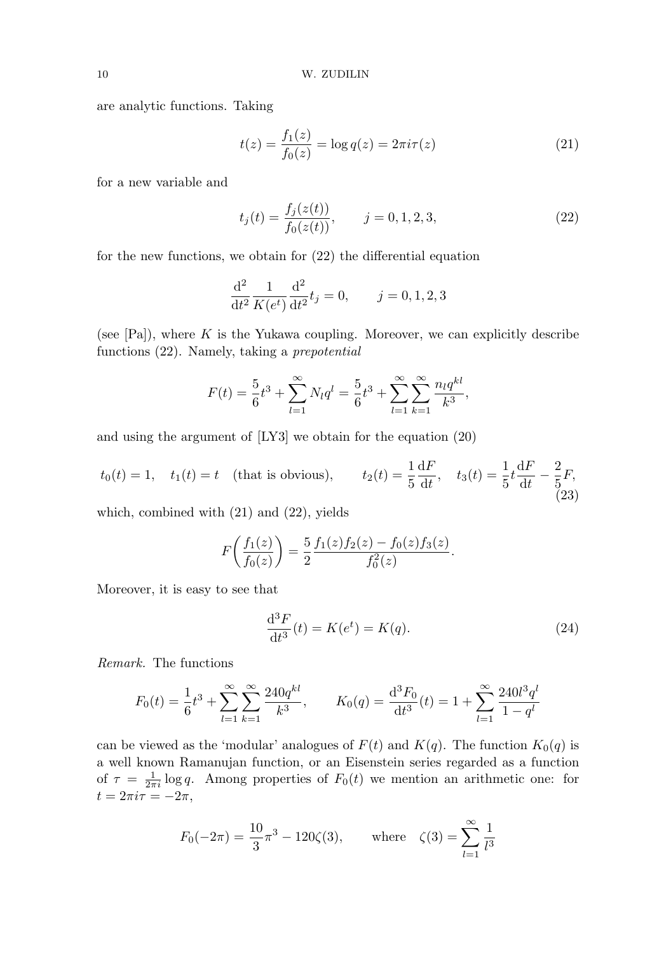are analytic functions. Taking

$$
t(z) = \frac{f_1(z)}{f_0(z)} = \log q(z) = 2\pi i \tau(z)
$$
\n(21)

for a new variable and

$$
t_j(t) = \frac{f_j(z(t))}{f_0(z(t))}, \qquad j = 0, 1, 2, 3,
$$
\n<sup>(22)</sup>

for the new functions, we obtain for (22) the differential equation

$$
\frac{d^2}{dt^2} \frac{1}{K(e^t)} \frac{d^2}{dt^2} t_j = 0, \qquad j = 0, 1, 2, 3
$$

(see  $[Pa]$ ), where K is the Yukawa coupling. Moreover, we can explicitly describe functions (22). Namely, taking a prepotential

$$
F(t) = \frac{5}{6}t^3 + \sum_{l=1}^{\infty} N_l q^l = \frac{5}{6}t^3 + \sum_{l=1}^{\infty} \sum_{k=1}^{\infty} \frac{n_l q^{kl}}{k^3},
$$

and using the argument of [LY3] we obtain for the equation (20)

$$
t_0(t) = 1
$$
,  $t_1(t) = t$  (that is obvious),  $t_2(t) = \frac{1}{5} \frac{dF}{dt}$ ,  $t_3(t) = \frac{1}{5} t \frac{dF}{dt} - \frac{2}{5} F$ , (23)

which, combined with (21) and (22), yields

$$
F\left(\frac{f_1(z)}{f_0(z)}\right) = \frac{5}{2} \frac{f_1(z)f_2(z) - f_0(z)f_3(z)}{f_0^2(z)}.
$$

Moreover, it is easy to see that

$$
\frac{\mathrm{d}^3 F}{\mathrm{d}t^3}(t) = K(e^t) = K(q). \tag{24}
$$

Remark. The functions

$$
F_0(t) = \frac{1}{6}t^3 + \sum_{l=1}^{\infty} \sum_{k=1}^{\infty} \frac{240q^{kl}}{k^3}, \qquad K_0(q) = \frac{d^3 F_0}{dt^3}(t) = 1 + \sum_{l=1}^{\infty} \frac{240l^3 q^l}{1 - q^l}
$$

can be viewed as the 'modular' analogues of  $F(t)$  and  $K(q)$ . The function  $K_0(q)$  is a well known Ramanujan function, or an Eisenstein series regarded as a function of  $\tau = \frac{1}{2\pi i} \log q$ . Among properties of  $F_0(t)$  we mention an arithmetic one: for  $t = 2\pi i \tau = -2\pi,$ 

$$
F_0(-2\pi) = \frac{10}{3}\pi^3 - 120\zeta(3)
$$
, where  $\zeta(3) = \sum_{l=1}^{\infty} \frac{1}{l^3}$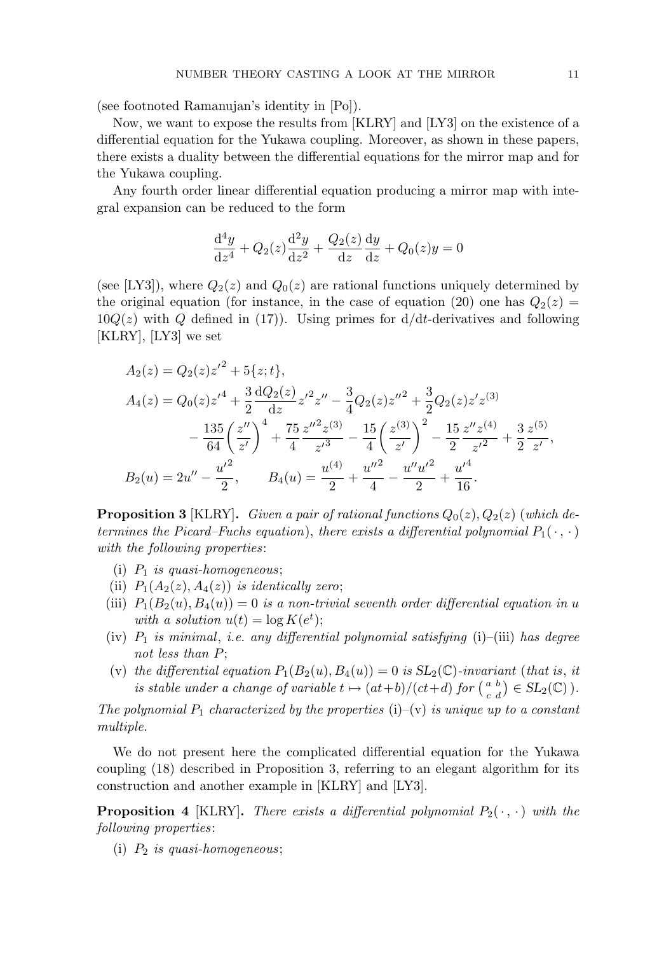(see footnoted Ramanujan's identity in [Po]).

Now, we want to expose the results from [KLRY] and [LY3] on the existence of a differential equation for the Yukawa coupling. Moreover, as shown in these papers, there exists a duality between the differential equations for the mirror map and for the Yukawa coupling.

Any fourth order linear differential equation producing a mirror map with integral expansion can be reduced to the form

$$
\frac{\mathrm{d}^4 y}{\mathrm{d}z^4} + Q_2(z)\frac{\mathrm{d}^2 y}{\mathrm{d}z^2} + \frac{Q_2(z)}{\mathrm{d}z}\frac{\mathrm{d}y}{\mathrm{d}z} + Q_0(z)y = 0
$$

(see [LY3]), where  $Q_2(z)$  and  $Q_0(z)$  are rational functions uniquely determined by the original equation (for instance, in the case of equation (20) one has  $Q_2(z)$  =  $10Q(z)$  with Q defined in (17)). Using primes for  $d/dt$ -derivatives and following [KLRY], [LY3] we set

$$
A_2(z) = Q_2(z)z'^2 + 5\{z;t\},
$$
  
\n
$$
A_4(z) = Q_0(z)z'^4 + \frac{3}{2}\frac{dQ_2(z)}{dz}z'^2z'' - \frac{3}{4}Q_2(z)z''^2 + \frac{3}{2}Q_2(z)z'z^{(3)}
$$
  
\n
$$
-\frac{135}{64}\left(\frac{z''}{z'}\right)^4 + \frac{75}{4}\frac{z''^2z^{(3)}}{z'^3} - \frac{15}{4}\left(\frac{z^{(3)}}{z'}\right)^2 - \frac{15}{2}\frac{z''z^{(4)}}{z'^2} + \frac{3}{2}\frac{z^{(5)}}{z'},
$$
  
\n
$$
B_2(u) = 2u'' - \frac{u'^2}{2}, \qquad B_4(u) = \frac{u^{(4)}}{2} + \frac{u''^2}{4} - \frac{u''u'^2}{2} + \frac{u'^4}{16}.
$$

**Proposition 3** [KLRY]. Given a pair of rational functions  $Q_0(z)$ ,  $Q_2(z)$  (which determines the Picard–Fuchs equation), there exists a differential polynomial  $P_1(\cdot, \cdot)$ with the following properties:

- (i)  $P_1$  is quasi-homogeneous;
- (ii)  $P_1(A_2(z), A_4(z))$  is identically zero;
- (iii)  $P_1(B_2(u), B_4(u)) = 0$  is a non-trivial seventh order differential equation in u with a solution  $u(t) = \log K(e^t);$
- (iv)  $P_1$  is minimal, i.e. any differential polynomial satisfying (i)–(iii) has degree not less than P;
- (v) the differential equation  $P_1(B_2(u), B_4(u)) = 0$  is  $SL_2(\mathbb{C})$ -invariant (that is, it is stable under a change of variable  $t \mapsto (at+b)/(ct+d)$  for  $\binom{a}{a}$  $\frac{a}{c} \frac{b}{d}$   $\big) \in SL_2(\mathbb{C})$  ).

The polynomial  $P_1$  characterized by the properties (i)–(v) is unique up to a constant multiple.

We do not present here the complicated differential equation for the Yukawa coupling (18) described in Proposition 3, referring to an elegant algorithm for its construction and another example in [KLRY] and [LY3].

**Proposition 4** [KLRY]. There exists a differential polynomial  $P_2(\cdot, \cdot)$  with the following properties:

(i)  $P_2$  is quasi-homogeneous;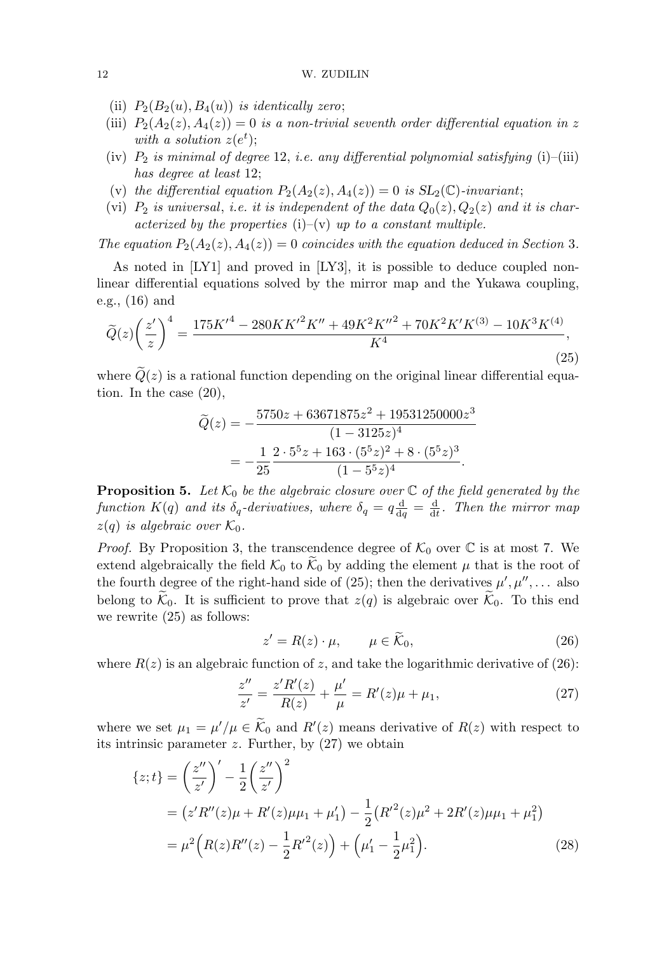- (ii)  $P_2(B_2(u), B_4(u))$  is identically zero;
- (iii)  $P_2(A_2(z), A_4(z)) = 0$  is a non-trivial seventh order differential equation in z with a solution  $z(e^t)$ ;
- (iv)  $P_2$  is minimal of degree 12, i.e. any differential polynomial satisfying (i)–(iii) has degree at least 12;
- (v) the differential equation  $P_2(A_2(z), A_4(z)) = 0$  is  $SL_2(\mathbb{C})$ -invariant;
- (vi)  $P_2$  is universal, i.e. it is independent of the data  $Q_0(z), Q_2(z)$  and it is characterized by the properties (i)–(v) up to a constant multiple.

The equation  $P_2(A_2(z), A_4(z)) = 0$  coincides with the equation deduced in Section 3.

As noted in [LY1] and proved in [LY3], it is possible to deduce coupled nonlinear differential equations solved by the mirror map and the Yukawa coupling, e.g., (16) and

$$
\widetilde{Q}(z)\left(\frac{z'}{z}\right)^4 = \frac{175K'^4 - 280KK'^2K'' + 49K^2K''^2 + 70K^2K'K^{(3)} - 10K^3K^{(4)}}{K^4},\tag{25}
$$

where  $\tilde{Q}(z)$  is a rational function depending on the original linear differential equation. In the case (20),

$$
\widetilde{Q}(z) = -\frac{5750z + 63671875z^2 + 19531250000z^3}{(1 - 3125z)^4} \n= -\frac{1}{25} \frac{2 \cdot 5^5 z + 163 \cdot (5^5 z)^2 + 8 \cdot (5^5 z)^3}{(1 - 5^5 z)^4}.
$$

**Proposition 5.** Let  $K_0$  be the algebraic closure over  $\mathbb C$  of the field generated by the function  $K(q)$  and its  $\delta_q$ -derivatives, where  $\delta_q = q \frac{d}{dq}$  $\frac{\mathrm{d}}{\mathrm{d}q} = \frac{\mathrm{d}}{\mathrm{d}q}$  $\frac{d}{dt}$ . Then the mirror map  $z(q)$  is algebraic over  $\mathcal{K}_0$ .

*Proof.* By Proposition 3, the transcendence degree of  $\mathcal{K}_0$  over  $\mathbb C$  is at most 7. We extend algebraically the field  $\mathcal{K}_0$  to  $\mathcal{K}_0$  by adding the element  $\mu$  that is the root of the fourth degree of the right-hand side of (25); then the derivatives  $\mu', \mu'', \ldots$  also belong to  $\mathcal{K}_0$ . It is sufficient to prove that  $z(q)$  is algebraic over  $\mathcal{K}_0$ . To this end we rewrite (25) as follows:

$$
z' = R(z) \cdot \mu, \qquad \mu \in \widetilde{\mathcal{K}}_0,\tag{26}
$$

where  $R(z)$  is an algebraic function of z, and take the logarithmic derivative of (26):

$$
\frac{z''}{z'} = \frac{z'R'(z)}{R(z)} + \frac{\mu'}{\mu} = R'(z)\mu + \mu_1,\tag{27}
$$

where we set  $\mu_1 = \mu'/\mu \in \widetilde{\mathcal{K}}_0$  and  $R'(z)$  means derivative of  $R(z)$  with respect to its intrinsic parameter  $z$ . Further, by  $(27)$  we obtain

$$
\{z;t\} = \left(\frac{z''}{z'}\right)' - \frac{1}{2}\left(\frac{z''}{z'}\right)^2
$$
  
=  $(z'R''(z)\mu + R'(z)\mu\mu_1 + \mu'_1) - \frac{1}{2}(R'^2(z)\mu^2 + 2R'(z)\mu\mu_1 + \mu_1^2)$   
=  $\mu^2\left(R(z)R''(z) - \frac{1}{2}R'^2(z)\right) + \left(\mu'_1 - \frac{1}{2}\mu_1^2\right).$  (28)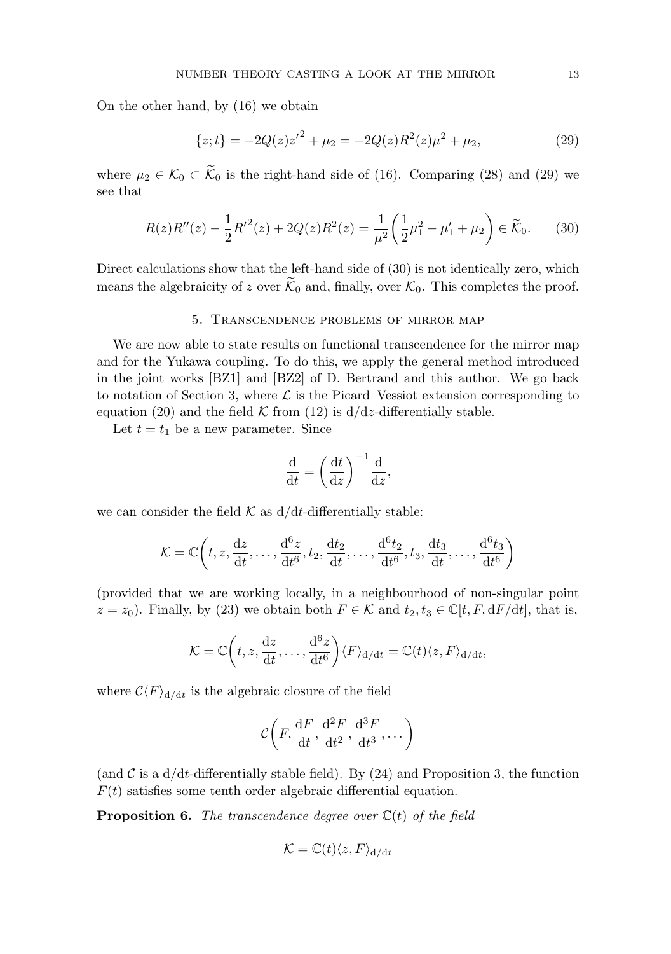On the other hand, by (16) we obtain

$$
\{z;t\} = -2Q(z)z'^2 + \mu_2 = -2Q(z)R^2(z)\mu^2 + \mu_2,\tag{29}
$$

where  $\mu_2 \in \mathcal{K}_0 \subset \widetilde{\mathcal{K}}_0$  is the right-hand side of (16). Comparing (28) and (29) we see that

$$
R(z)R''(z) - \frac{1}{2}R'^2(z) + 2Q(z)R^2(z) = \frac{1}{\mu^2} \left(\frac{1}{2}\mu_1^2 - \mu_1' + \mu_2\right) \in \widetilde{\mathcal{K}}_0.
$$
 (30)

Direct calculations show that the left-hand side of  $(30)$  is not identically zero, which means the algebraicity of z over  $\mathcal{K}_0$  and, finally, over  $\mathcal{K}_0$ . This completes the proof.

## 5. Transcendence problems of mirror map

We are now able to state results on functional transcendence for the mirror map and for the Yukawa coupling. To do this, we apply the general method introduced in the joint works [BZ1] and [BZ2] of D. Bertrand and this author. We go back to notation of Section 3, where  $\mathcal L$  is the Picard–Vessiot extension corresponding to equation (20) and the field  $K$  from (12) is  $d/dz$ -differentially stable.

Let  $t = t_1$  be a new parameter. Since

$$
\frac{\mathrm{d}}{\mathrm{d}t} = \left(\frac{\mathrm{d}t}{\mathrm{d}z}\right)^{-1} \frac{\mathrm{d}}{\mathrm{d}z},
$$

we can consider the field  $K$  as  $d/dt$ -differentially stable:

$$
\mathcal{K} = \mathbb{C}\bigg(t, z, \frac{\mathrm{d}z}{\mathrm{d}t}, \dots, \frac{\mathrm{d}^6z}{\mathrm{d}t^6}, t_2, \frac{\mathrm{d}t_2}{\mathrm{d}t}, \dots, \frac{\mathrm{d}^6t_2}{\mathrm{d}t^6}, t_3, \frac{\mathrm{d}t_3}{\mathrm{d}t}, \dots, \frac{\mathrm{d}^6t_3}{\mathrm{d}t^6}\bigg)
$$

(provided that we are working locally, in a neighbourhood of non-singular point  $z = z_0$ ). Finally, by (23) we obtain both  $F \in \mathcal{K}$  and  $t_2, t_3 \in \mathbb{C}[t, F, dF/dt]$ , that is,

$$
\mathcal{K} = \mathbb{C}\bigg(t, z, \frac{\mathrm{d}z}{\mathrm{d}t}, \dots, \frac{\mathrm{d}^6z}{\mathrm{d}t^6}\bigg)\langle F \rangle_{\mathrm{d}/\mathrm{d}t} = \mathbb{C}(t)\langle z, F \rangle_{\mathrm{d}/\mathrm{d}t},
$$

where  $\mathcal{C}\langle F\rangle_{\mathrm{d}/\mathrm{d}t}$  is the algebraic closure of the field

$$
\mathcal{C}\bigg(F, \frac{\mathrm{d}F}{\mathrm{d}t}, \frac{\mathrm{d}^2F}{\mathrm{d}t^2}, \frac{\mathrm{d}^3F}{\mathrm{d}t^3}, \dots\bigg)
$$

(and C is a  $d/dt$ -differentially stable field). By (24) and Proposition 3, the function  $F(t)$  satisfies some tenth order algebraic differential equation.

**Proposition 6.** The transcendence degree over  $\mathbb{C}(t)$  of the field

$$
\mathcal{K} = \mathbb{C}(t)\langle z, F \rangle_{\mathrm{d}/\mathrm{d}t}
$$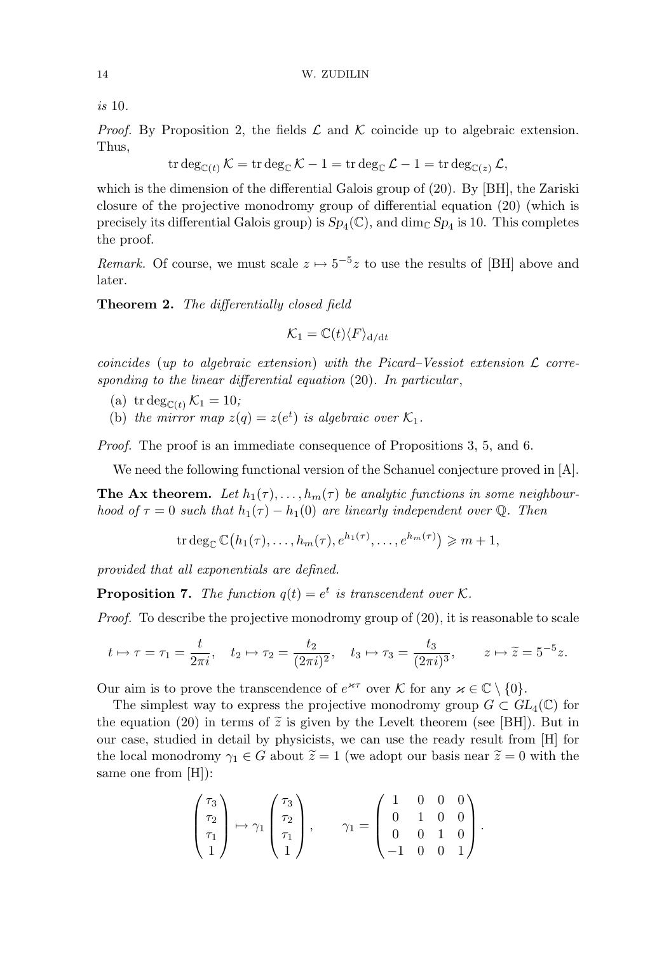is 10.

*Proof.* By Proposition 2, the fields  $\mathcal L$  and  $\mathcal K$  coincide up to algebraic extension. Thus,

$$
\operatorname{tr} \deg_{\mathbb{C}(t)} \mathcal{K} = \operatorname{tr} \deg_{\mathbb{C}} \mathcal{K} - 1 = \operatorname{tr} \deg_{\mathbb{C}} \mathcal{L} - 1 = \operatorname{tr} \deg_{\mathbb{C}(z)} \mathcal{L},
$$

which is the dimension of the differential Galois group of (20). By [BH], the Zariski closure of the projective monodromy group of differential equation (20) (which is precisely its differential Galois group) is  $Sp_4(\mathbb{C})$ , and  $\dim_{\mathbb{C}} Sp_4$  is 10. This completes the proof.

Remark. Of course, we must scale  $z \mapsto 5^{-5}z$  to use the results of [BH] above and later.

Theorem 2. The differentially closed field

$$
\mathcal{K}_1 = \mathbb{C}(t) \langle F \rangle_{\mathrm{d}/\mathrm{d}t}
$$

coincides (up to algebraic extension) with the Picard–Vessiot extension  $\mathcal L$  corresponding to the linear differential equation  $(20)$ . In particular,

- (a) tr deg<sub>C(t)</sub>  $\mathcal{K}_1 = 10$ ;
- (b) the mirror map  $z(q) = z(e^t)$  is algebraic over  $\mathcal{K}_1$ .

Proof. The proof is an immediate consequence of Propositions 3, 5, and 6.

We need the following functional version of the Schanuel conjecture proved in [A].

**The Ax theorem.** Let  $h_1(\tau), \ldots, h_m(\tau)$  be analytic functions in some neighbourhood of  $\tau = 0$  such that  $h_1(\tau) - h_1(0)$  are linearly independent over Q. Then

$$
\operatorname{tr} \deg_{\mathbb{C}} \mathbb{C}\big(h_1(\tau),\ldots,h_m(\tau),e^{h_1(\tau)},\ldots,e^{h_m(\tau)}\big) \geq m+1,
$$

provided that all exponentials are defined.

**Proposition 7.** The function  $q(t) = e^t$  is transcendent over K.

Proof. To describe the projective monodromy group of (20), it is reasonable to scale

$$
t \mapsto \tau = \tau_1 = \frac{t}{2\pi i}, \quad t_2 \mapsto \tau_2 = \frac{t_2}{(2\pi i)^2}, \quad t_3 \mapsto \tau_3 = \frac{t_3}{(2\pi i)^3}, \quad z \mapsto \widetilde{z} = 5^{-5}z.
$$

Our aim is to prove the transcendence of  $e^{\kappa \tau}$  over K for any  $\varkappa \in \mathbb{C} \setminus \{0\}.$ 

The simplest way to express the projective monodromy group  $G \subset GL_4(\mathbb{C})$  for the equation (20) in terms of  $\tilde{z}$  is given by the Levelt theorem (see [BH]). But in our case, studied in detail by physicists, we can use the ready result from [H] for the local monodromy  $\gamma_1 \in G$  about  $\tilde{z} = 1$  (we adopt our basis near  $\tilde{z} = 0$  with the same one from [H]):

$$
\begin{pmatrix} \tau_3 \\ \tau_2 \\ \tau_1 \\ 1 \end{pmatrix} \mapsto \gamma_1 \begin{pmatrix} \tau_3 \\ \tau_2 \\ \tau_1 \\ 1 \end{pmatrix}, \qquad \gamma_1 = \begin{pmatrix} 1 & 0 & 0 & 0 \\ 0 & 1 & 0 & 0 \\ 0 & 0 & 1 & 0 \\ -1 & 0 & 0 & 1 \end{pmatrix}.
$$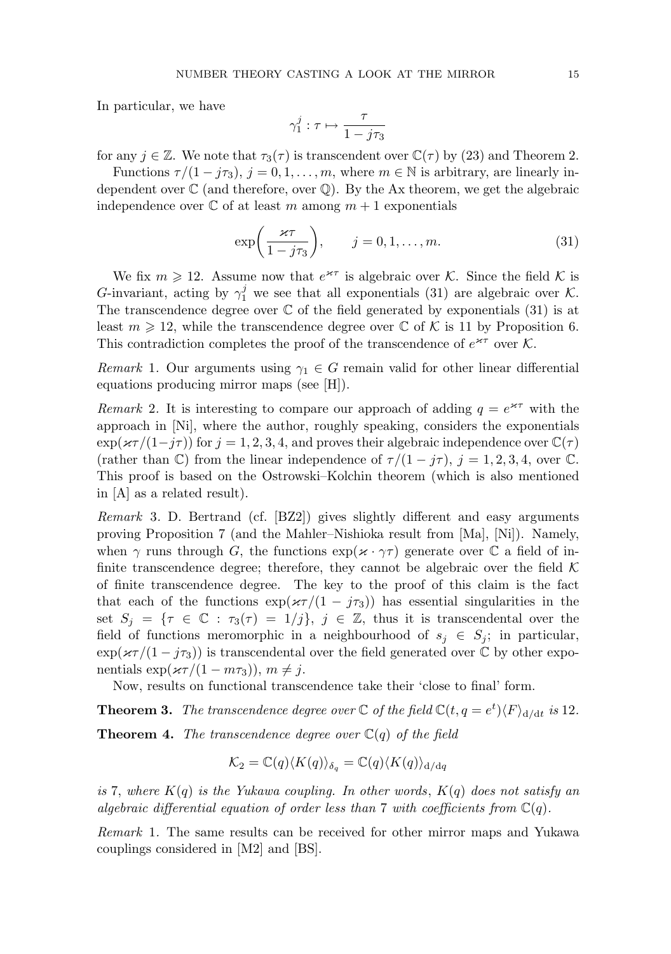In particular, we have

$$
\gamma_1^j : \tau \mapsto \frac{\tau}{1 - j\tau_3}
$$

for any  $j \in \mathbb{Z}$ . We note that  $\tau_3(\tau)$  is transcendent over  $\mathbb{C}(\tau)$  by (23) and Theorem 2.

Functions  $\tau/(1 - i\tau_3)$ ,  $j = 0, 1, \ldots, m$ , where  $m \in \mathbb{N}$  is arbitrary, are linearly independent over  $\mathbb C$  (and therefore, over  $\mathbb Q$ ). By the Ax theorem, we get the algebraic independence over  $\mathbb C$  of at least m among  $m+1$  exponentials

$$
\exp\left(\frac{\varkappa\tau}{1-j\tau_3}\right), \qquad j=0,1,\ldots,m. \tag{31}
$$

We fix  $m \geq 12$ . Assume now that  $e^{\varkappa \tau}$  is algebraic over K. Since the field K is G-invariant, acting by  $\gamma_1^j$  we see that all exponentials (31) are algebraic over K. The transcendence degree over  $\mathbb C$  of the field generated by exponentials (31) is at least  $m \geq 12$ , while the transcendence degree over  $\mathbb C$  of K is 11 by Proposition 6. This contradiction completes the proof of the transcendence of  $e^{\varkappa\tau}$  over K.

Remark 1. Our arguments using  $\gamma_1 \in G$  remain valid for other linear differential equations producing mirror maps (see [H]).

Remark 2. It is interesting to compare our approach of adding  $q = e^{\kappa \tau}$  with the approach in [Ni], where the author, roughly speaking, considers the exponentials  $\exp(\varkappa \tau/(1-j\tau))$  for  $j=1,2,3,4$ , and proves their algebraic independence over  $\mathbb{C}(\tau)$ (rather than  $\mathbb{C}$ ) from the linear independence of  $\tau/(1-j\tau)$ ,  $j=1,2,3,4$ , over  $\mathbb{C}$ . This proof is based on the Ostrowski–Kolchin theorem (which is also mentioned in [A] as a related result).

Remark 3. D. Bertrand (cf. [BZ2]) gives slightly different and easy arguments proving Proposition 7 (and the Mahler–Nishioka result from [Ma], [Ni]). Namely, when  $\gamma$  runs through G, the functions  $\exp(\varkappa \cdot \gamma \tau)$  generate over C a field of infinite transcendence degree; therefore, they cannot be algebraic over the field  $\mathcal K$ of finite transcendence degree. The key to the proof of this claim is the fact that each of the functions  $\exp(\varkappa\tau/(1-j\tau_3))$  has essential singularities in the set  $S_j = \{ \tau \in \mathbb{C} : \tau_3(\tau) = 1/j \}, j \in \mathbb{Z}$ , thus it is transcendental over the field of functions meromorphic in a neighbourhood of  $s_j \in S_j$ ; in particular,  $\exp(\varkappa\tau/(1-j\tau_3))$  is transcendental over the field generated over  $\mathbb C$  by other exponentials  $\exp(\varkappa \tau/(1 - m\tau_3))$ ,  $m \neq j$ .

Now, results on functional transcendence take their 'close to final' form.

**Theorem 3.** The transcendence degree over  $\mathbb C$  of the field  $\mathbb C(t, q = e^t)\langle F \rangle_{\mathrm{d}/\mathrm{d}t}$  is 12.

**Theorem 4.** The transcendence degree over  $\mathbb{C}(q)$  of the field

$$
\mathcal{K}_2 = \mathbb{C}(q) \langle K(q) \rangle_{\delta_q} = \mathbb{C}(q) \langle K(q) \rangle_{\mathrm{d}/\mathrm{d}q}
$$

is 7, where  $K(q)$  is the Yukawa coupling. In other words,  $K(q)$  does not satisfy an algebraic differential equation of order less than 7 with coefficients from  $\mathbb{C}(q)$ .

Remark 1. The same results can be received for other mirror maps and Yukawa couplings considered in [M2] and [BS].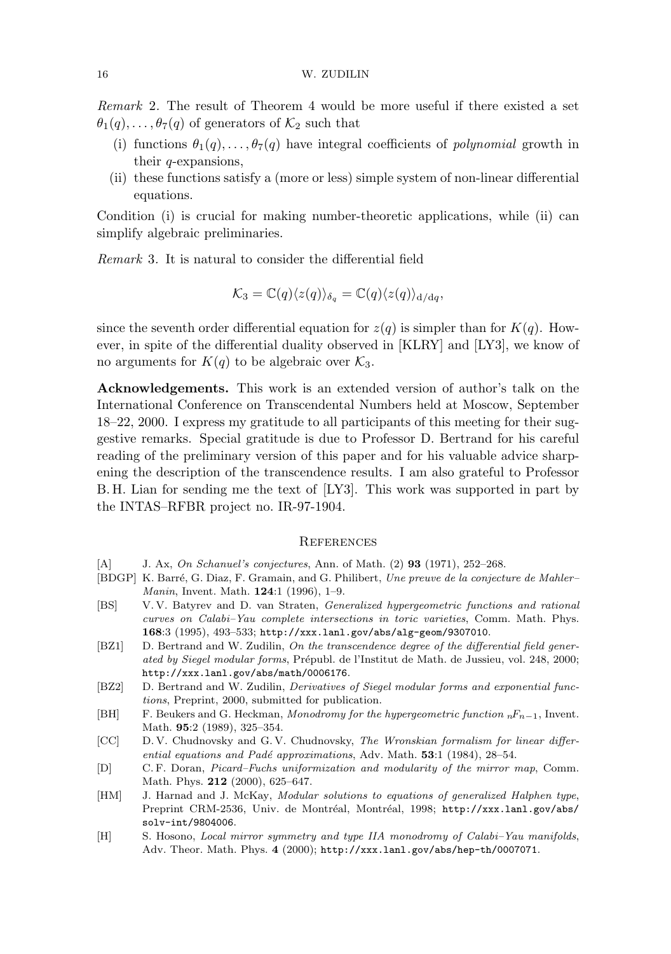Remark 2. The result of Theorem 4 would be more useful if there existed a set  $\theta_1(q), \ldots, \theta_7(q)$  of generators of  $\mathcal{K}_2$  such that

- (i) functions  $\theta_1(q), \ldots, \theta_7(q)$  have integral coefficients of *polynomial* growth in their q-expansions,
- (ii) these functions satisfy a (more or less) simple system of non-linear differential equations.

Condition (i) is crucial for making number-theoretic applications, while (ii) can simplify algebraic preliminaries.

Remark 3. It is natural to consider the differential field

$$
\mathcal{K}_3 = \mathbb{C}(q) \langle z(q) \rangle_{\delta_q} = \mathbb{C}(q) \langle z(q) \rangle_{\mathrm{d}/\mathrm{d}q},
$$

since the seventh order differential equation for  $z(q)$  is simpler than for  $K(q)$ . However, in spite of the differential duality observed in [KLRY] and [LY3], we know of no arguments for  $K(q)$  to be algebraic over  $\mathcal{K}_3$ .

Acknowledgements. This work is an extended version of author's talk on the International Conference on Transcendental Numbers held at Moscow, September 18–22, 2000. I express my gratitude to all participants of this meeting for their suggestive remarks. Special gratitude is due to Professor D. Bertrand for his careful reading of the preliminary version of this paper and for his valuable advice sharpening the description of the transcendence results. I am also grateful to Professor B. H. Lian for sending me the text of [LY3]. This work was supported in part by the INTAS–RFBR project no. IR-97-1904.

### **REFERENCES**

- [A] J. Ax, On Schanuel's conjectures, Ann. of Math. (2) **93** (1971), 252–268.
- [BDGP] K. Barré, G. Diaz, F. Gramain, and G. Philibert, Une preuve de la conjecture de Mahler– Manin, Invent. Math. 124:1 (1996), 1–9.
- [BS] V. V. Batyrev and D. van Straten, Generalized hypergeometric functions and rational curves on Calabi–Yau complete intersections in toric varieties, Comm. Math. Phys. 168:3 (1995), 493–533; http://xxx.lanl.gov/abs/alg-geom/9307010.
- [BZ1] D. Bertrand and W. Zudilin, On the transcendence degree of the differential field generated by Siegel modular forms, Prépubl. de l'Institut de Math. de Jussieu, vol. 248, 2000; http://xxx.lanl.gov/abs/math/0006176.
- [BZ2] D. Bertrand and W. Zudilin, Derivatives of Siegel modular forms and exponential functions, Preprint, 2000, submitted for publication.
- [BH] F. Beukers and G. Heckman, Monodromy for the hypergeometric function  $nF_{n-1}$ , Invent. Math. 95:2 (1989), 325–354.
- [CC] D. V. Chudnovsky and G. V. Chudnovsky, The Wronskian formalism for linear differential equations and Padé approximations, Adv. Math.  $53:1$  (1984), 28-54.
- [D] C. F. Doran, Picard–Fuchs uniformization and modularity of the mirror map, Comm. Math. Phys. **212** (2000), 625–647.
- [HM] J. Harnad and J. McKay, *Modular solutions to equations of generalized Halphen type*, Preprint CRM-2536, Univ. de Montréal, Montréal, 1998; http://xxx.lanl.gov/abs/ solv-int/9804006.
- [H] S. Hosono, Local mirror symmetry and type IIA monodromy of Calabi–Yau manifolds, Adv. Theor. Math. Phys. 4 (2000); http://xxx.lanl.gov/abs/hep-th/0007071.